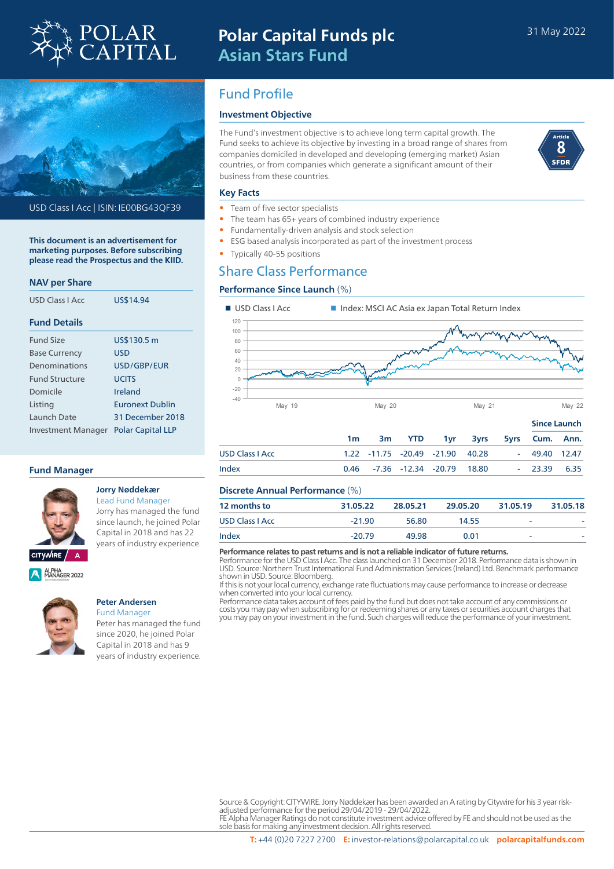

# **Polar Capital Funds plc Asian Stars Fund**



USD Class I Acc | ISIN: IE00BG43QF39

**This document is an advertisement for marketing purposes. Before subscribing please read the Prospectus and the KIID.**

# **NAV per Share**

| USD Class LAcc            | US\$14.94                |
|---------------------------|--------------------------|
| <b>Fund Details</b>       |                          |
| <b>Fund Size</b>          | US\$130.5 m              |
| <b>Base Currency</b>      | USD                      |
| Denominations             | USD/GBP/FUR              |
| <b>Fund Structure</b>     | <b>UCITS</b>             |
| Domicile                  | Ireland                  |
| Listing                   | <b>Euronext Dublin</b>   |
| Launch Date               | 31 December 2018         |
| <b>Investment Manager</b> | <b>Polar Capital LLP</b> |

# **Fund Manager**



## **Jorry Nøddekær** Lead Fund Manager

Jorry has managed the fund since launch, he joined Polar Capital in 2018 and has 22 years of industry experience.

ALPHA<br>MANAGER 2022



# **Peter Andersen**

Fund Manager Peter has managed the fund since 2020, he joined Polar Capital in 2018 and has 9 years of industry experience.

# Fund Profile

# **Investment Objective**

The Fund's investment objective is to achieve long term capital growth. The Fund seeks to achieve its objective by investing in a broad range of shares from companies domiciled in developed and developing (emerging market) Asian countries, or from companies which generate a significant amount of their business from these countries.



## **Key Facts**

- Team of five sector specialists
- The team has 65+ years of combined industry experience
- Fundamentally-driven analysis and stock selection
- ESG based analysis incorporated as part of the investment process
- Typically 40-55 positions

# Share Class Performance

# **Performance Since Launch** (%)



|                        |    |  |                                        |                                | <b>Since Launch</b> |  |  |
|------------------------|----|--|----------------------------------------|--------------------------------|---------------------|--|--|
|                        | 1m |  |                                        | 3m YTD 1yr 3yrs 5yrs Cum. Ann. |                     |  |  |
| <b>USD Class   Acc</b> |    |  | 1.22 -11.75 -20.49 -21.90 40.28        |                                | - 49.40 12.47       |  |  |
| Index                  |    |  | $0.46$ $-7.36$ $-12.34$ $-20.79$ 18.80 |                                | $-23.39$ 6.35       |  |  |

# **Discrete Annual Performance** (%)

| <b>12 months to</b>    | 31.05.22 | 28.05.21 | 29.05.20 | 31.05.19 | 31.05.18 |  |
|------------------------|----------|----------|----------|----------|----------|--|
| <b>USD Class   Acc</b> | $-21.90$ | 56.80    | 14.55    | -        |          |  |
| Index                  | $-20.79$ | 49.98    | 0.01     | -        |          |  |

#### **Performance relates to past returns and is not a reliable indicator of future returns.**

Performance for the USD Class I Acc. The class launched on 31 December 2018. Performance data is shown in USD. Source: Northern Trust International Fund Administration Services (Ireland) Ltd. Benchmark performance shown in USD. Source: Bloomberg.

If this is not your local currency, exchange rate fluctuations may cause performance to increase or decrease when converted into your local currency.

Performance data takes account of fees paid by the fund but does not take account of any commissions or costs you may pay when subscribing for or redeeming shares or any taxes or securities account charges that you may pay on your investment in the fund. Such charges will reduce the performance of your investment.

FE Alpha Manager Ratings do not constitute investment advice offered by FE and should not be used as the sole basis for making any investment decision. All rights reserved.

Source & Copyright: CITYWIRE. Jorry Nøddekær has been awarded an A rating by Citywire for his 3 year riskadjusted performance for the period 29/04/2019 - 29/04/2022.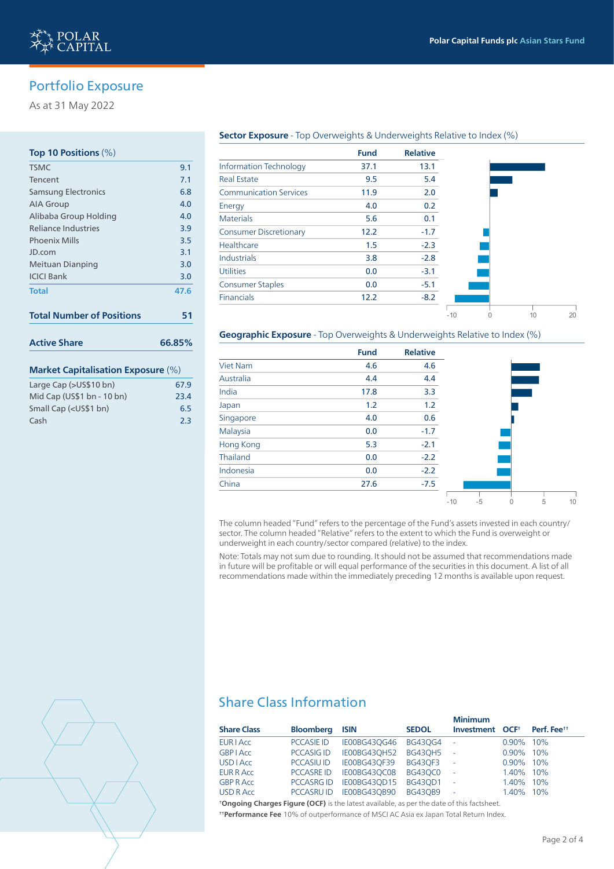-10 0 10 20



# Portfolio Exposure

As at 31 May 2022

# **Top 10 Positions** (%)

| <b>TSMC</b>                                                                                                                                                                                                              | 9.1    |
|--------------------------------------------------------------------------------------------------------------------------------------------------------------------------------------------------------------------------|--------|
| Tencent                                                                                                                                                                                                                  | 7.1    |
| <b>Samsung Electronics</b>                                                                                                                                                                                               | 6.8    |
| <b>AIA Group</b>                                                                                                                                                                                                         | 4.0    |
| Alibaba Group Holding                                                                                                                                                                                                    | 4.0    |
| <b>Reliance Industries</b>                                                                                                                                                                                               | 3.9    |
| <b>Phoenix Mills</b>                                                                                                                                                                                                     | 3.5    |
| JD.com                                                                                                                                                                                                                   | 3.1    |
| Meituan Dianping                                                                                                                                                                                                         | 3.0    |
| <b>ICICI Bank</b>                                                                                                                                                                                                        | 3.0    |
| <b>Total</b>                                                                                                                                                                                                             | 47.6   |
| <b>Total Number of Positions</b>                                                                                                                                                                                         | 51     |
| <b>Active Share</b>                                                                                                                                                                                                      | 66.85% |
| <b>Market Capitalisation Exposure (%)</b>                                                                                                                                                                                |        |
| $ ($ $)$ $($ $)$ $($ $)$ $($ $)$ $($ $)$ $($ $)$ $($ $)$ $($ $)$ $($ $)$ $($ $)$ $($ $)$ $($ $)$ $($ $)$ $($ $)$ $($ $)$ $($ $)$ $($ $)$ $($ $)$ $($ $)$ $($ $)$ $($ $)$ $($ $)$ $($ $)$ $($ $)$ $($ $)$ $($ $)$ $($ $)$ |        |

# Large Cap (>US\$10 bn) 67.9

| Mid Cap (US\$1 bn - 10 bn)                            | 23.4 |
|-------------------------------------------------------|------|
| Small Cap ( <us\$1 bn)<="" td=""><td>6.5</td></us\$1> | 6.5  |
| Cash                                                  | 2.3  |

## **Sector Exposure** - Top Overweights & Underweights Relative to Index (%)

|                               | <b>Fund</b> | <b>Relative</b> |
|-------------------------------|-------------|-----------------|
| <b>Information Technology</b> | 37.1        | 13.1            |
| <b>Real Estate</b>            | 9.5         | 5.4             |
| <b>Communication Services</b> | 11.9        | 2.0             |
| Energy                        | 4.0         | 0.2             |
| <b>Materials</b>              | 5.6         | 0.1             |
| <b>Consumer Discretionary</b> | 12.2        | $-1.7$          |
| Healthcare                    | 1.5         | $-2.3$          |
| <b>Industrials</b>            | 3.8         | $-2.8$          |
| <b>Utilities</b>              | 0.0         | $-3.1$          |
| <b>Consumer Staples</b>       | 0.0         | $-5.1$          |
| <b>Financials</b>             | 12.2        | $-8.2$          |
|                               |             |                 |

# **Geographic Exposure** - Top Overweights & Underweights Relative to Index (%)

|                 | <b>Fund</b> | <b>Relative</b> |       |      |   |  |
|-----------------|-------------|-----------------|-------|------|---|--|
| <b>Viet Nam</b> | 4.6         | 4.6             |       |      |   |  |
| Australia       | 4.4         | 4.4             |       |      |   |  |
| India           | 17.8        | 3.3             |       |      |   |  |
| Japan           | 1.2         | 1.2             |       |      |   |  |
| Singapore       | 4.0         | 0.6             |       |      |   |  |
| Malaysia        | 0.0         | $-1.7$          |       |      |   |  |
| Hong Kong       | 5.3         | $-2.1$          |       |      |   |  |
| Thailand        | 0.0         | $-2.2$          |       |      |   |  |
| Indonesia       | 0.0         | $-2.2$          |       |      |   |  |
| China           | 27.6        | $-7.5$          |       |      |   |  |
|                 |             |                 | $-10$ | $-5$ | 5 |  |

The column headed "Fund" refers to the percentage of the Fund's assets invested in each country/ sector. The column headed "Relative" refers to the extent to which the Fund is overweight or underweight in each country/sector compared (relative) to the index.

Note: Totals may not sum due to rounding. It should not be assumed that recommendations made in future will be profitable or will equal performance of the securities in this document. A list of all recommendations made within the immediately preceding 12 months is available upon request.



# Share Class Information

|                    |                   |                     |                | <b>Minimum</b>              |              |                         |
|--------------------|-------------------|---------------------|----------------|-----------------------------|--------------|-------------------------|
| <b>Share Class</b> | <b>Bloomberg</b>  | <b>ISIN</b>         | <b>SEDOL</b>   | Investment OCF <sup>+</sup> |              | Perf. Fee <sup>tt</sup> |
| <b>EUR I Acc</b>   | <b>PCCASIE ID</b> | IE00BG43OG46        | BG430G4        | $\sim$                      | $0.90\%$     | 10%                     |
| <b>GBPIACC</b>     | <b>PCCASIG ID</b> | <b>IE00BG43OH52</b> | <b>BG430H5</b> | $\sim$                      | $0.90\%$     | 10%                     |
| <b>USD</b> LACC    | <b>PCCASIU ID</b> | <b>IE00BG43OF39</b> | <b>BG430F3</b> | $\sim$                      | $0.90\%$ 10% |                         |
| <b>EUR R Acc</b>   | <b>PCCASREID</b>  | IE00BG43OC08        | <b>BG43OC0</b> | $\sim$                      | 1.40% 10%    |                         |
| <b>GBP R Acc</b>   | <b>PCCASRG ID</b> | IE00BG43OD15        | <b>BG43OD1</b> | $\mathbb{L}$                | 1.40% 10%    |                         |
| USD R Acc          | <b>PCCASRU ID</b> | IE00BG43OB90        | <b>BG43OB9</b> | L,                          | 1.40% 10%    |                         |

**† Ongoing Charges Figure (OCF)** is the latest available, as per the date of this factsheet. **† † Performance Fee** 10% of outperformance of MSCI AC Asia ex Japan Total Return Index.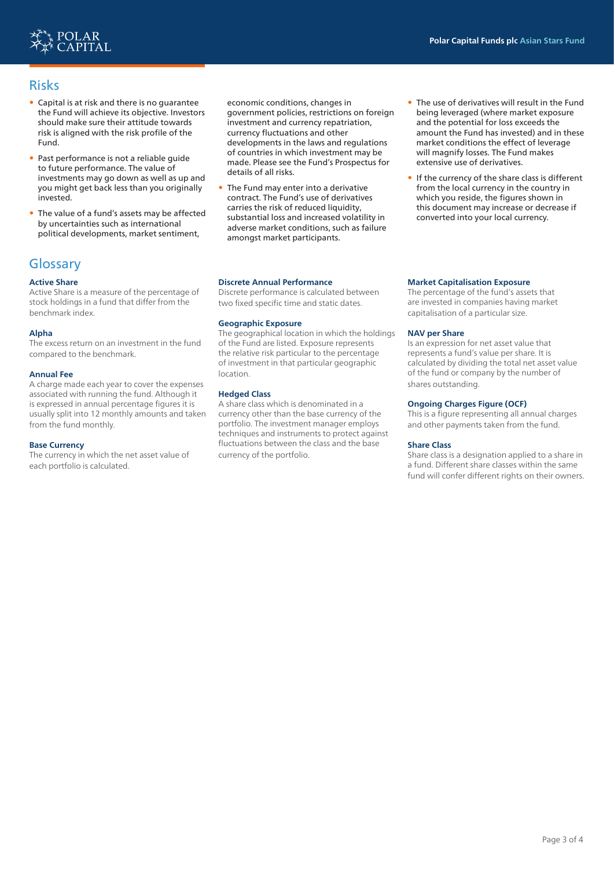

# Risks

- Capital is at risk and there is no guarantee the Fund will achieve its objective. Investors should make sure their attitude towards risk is aligned with the risk profile of the Fund.
- Past performance is not a reliable guide to future performance. The value of investments may go down as well as up and you might get back less than you originally invested.
- The value of a fund's assets may be affected by uncertainties such as international political developments, market sentiment,

# **Glossary**

# **Active Share**

Active Share is a measure of the percentage of stock holdings in a fund that differ from the benchmark index.

# **Alpha**

The excess return on an investment in the fund compared to the benchmark.

#### **Annual Fee**

A charge made each year to cover the expenses associated with running the fund. Although it is expressed in annual percentage figures it is usually split into 12 monthly amounts and taken from the fund monthly.

#### **Base Currency**

The currency in which the net asset value of each portfolio is calculated.

economic conditions, changes in government policies, restrictions on foreign investment and currency repatriation, currency fluctuations and other developments in the laws and regulations of countries in which investment may be made. Please see the Fund's Prospectus for details of all risks.

• The Fund may enter into a derivative contract. The Fund's use of derivatives carries the risk of reduced liquidity, substantial loss and increased volatility in adverse market conditions, such as failure amongst market participants.

#### **Discrete Annual Performance**

Discrete performance is calculated between two fixed specific time and static dates.

## **Geographic Exposure**

The geographical location in which the holdings of the Fund are listed. Exposure represents the relative risk particular to the percentage of investment in that particular geographic location.

## **Hedged Class**

A share class which is denominated in a currency other than the base currency of the portfolio. The investment manager employs techniques and instruments to protect against fluctuations between the class and the base currency of the portfolio.

## being leveraged (where market exposure and the potential for loss exceeds the amount the Fund has invested) and in these market conditions the effect of leverage will magnify losses. The Fund makes extensive use of derivatives.

The use of derivatives will result in the Fund

If the currency of the share class is different from the local currency in the country in which you reside, the figures shown in this document may increase or decrease if converted into your local currency.

### **Market Capitalisation Exposure**

The percentage of the fund's assets that are invested in companies having market capitalisation of a particular size.

#### **NAV per Share**

Is an expression for net asset value that represents a fund's value per share. It is calculated by dividing the total net asset value of the fund or company by the number of shares outstanding.

## **Ongoing Charges Figure (OCF)**

This is a figure representing all annual charges and other payments taken from the fund.

#### **Share Class**

Share class is a designation applied to a share in a fund. Different share classes within the same fund will confer different rights on their owners.